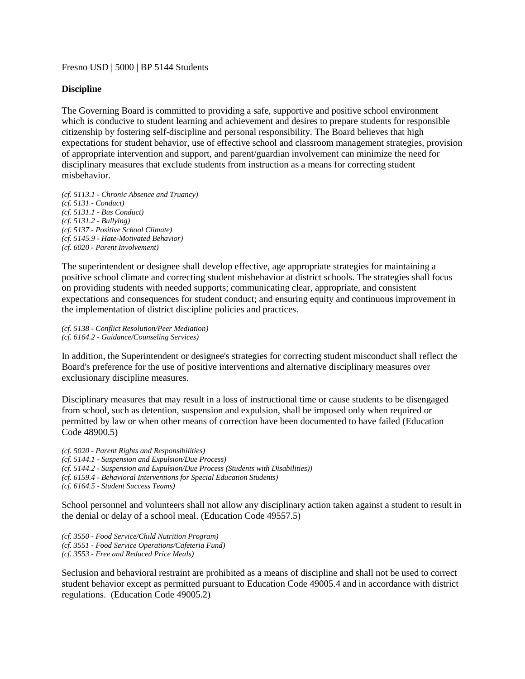Fresno USD | 5000 | BP 5144 Students

## **Discipline**

The Governing Board is committed to providing a safe, supportive and positive school environment which is conducive to student learning and achievement and desires to prepare students for responsible citizenship by fostering self-discipline and personal responsibility. The Board believes that high expectations for student behavior, use of effective school and classroom management strategies, provision of appropriate intervention and support, and parent/guardian involvement can minimize the need for disciplinary measures that exclude students from instruction as a means for correcting student misbehavior.

*(cf. 5113.1 - Chronic Absence and Truancy) (cf. 5131 - Conduct) (cf. 5131.1 - Bus Conduct) (cf. 5131.2 - Bullying) (cf. 5137 - Positive School Climate) (cf. 5145.9 - Hate-Motivated Behavior) (cf. 6020 - Parent Involvement)* 

The superintendent or designee shall develop effective, age appropriate strategies for maintaining a positive school climate and correcting student misbehavior at district schools. The strategies shall focus on providing students with needed supports; communicating clear, appropriate, and consistent expectations and consequences for student conduct; and ensuring equity and continuous improvement in the implementation of district discipline policies and practices.

*(cf. 5138 - Conflict Resolution/Peer Mediation) (cf. 6164.2 - Guidance/Counseling Services)* 

In addition, the Superintendent or designee's strategies for correcting student misconduct shall reflect the Board's preference for the use of positive interventions and alternative disciplinary measures over exclusionary discipline measures.

Disciplinary measures that may result in a loss of instructional time or cause students to be disengaged from school, such as detention, suspension and expulsion, shall be imposed only when required or permitted by law or when other means of correction have been documented to have failed (Education Code 48900.5)

*(cf. 5020 - Parent Rights and Responsibilities) (cf. 5144.1 - Suspension and Expulsion/Due Process) (cf. 5144.2 - Suspension and Expulsion/Due Process (Students with Disabilities)) (cf. 6159.4 - Behavioral Interventions for Special Education Students) (cf. 6164.5 - Student Success Teams)* 

School personnel and volunteers shall not allow any disciplinary action taken against a student to result in the denial or delay of a school meal. (Education Code 49557.5)

*(cf. 3550 - Food Service/Child Nutrition Program) (cf. 3551 - Food Service Operations/Cafeteria Fund) (cf. 3553 - Free and Reduced Price Meals)* 

Seclusion and behavioral restraint are prohibited as a means of discipline and shall not be used to correct student behavior except as permitted pursuant to Education Code 49005.4 and in accordance with district regulations. (Education Code 49005.2)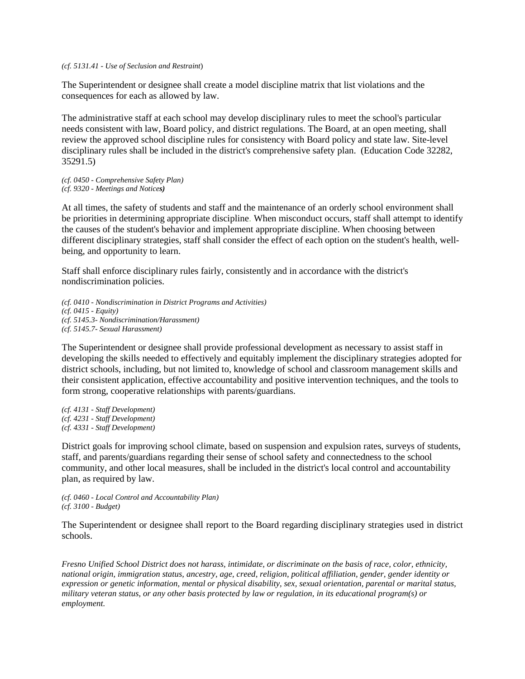*(cf. 5131.41 - Use of Seclusion and Restraint*)

The Superintendent or designee shall create a model discipline matrix that list violations and the consequences for each as allowed by law.

The administrative staff at each school may develop disciplinary rules to meet the school's particular needs consistent with law, Board policy, and district regulations. The Board, at an open meeting, shall review the approved school discipline rules for consistency with Board policy and state law. Site-level disciplinary rules shall be included in the district's comprehensive safety plan. (Education Code 32282, 35291.5)

*(cf. 0450 - Comprehensive Safety Plan) (cf. 9320 - Meetings and Notices)*

At all times, the safety of students and staff and the maintenance of an orderly school environment shall be priorities in determining appropriate discipline. When misconduct occurs, staff shall attempt to identify the causes of the student's behavior and implement appropriate discipline. When choosing between different disciplinary strategies, staff shall consider the effect of each option on the student's health, wellbeing, and opportunity to learn.

Staff shall enforce disciplinary rules fairly, consistently and in accordance with the district's nondiscrimination policies.

*(cf. 0410 - Nondiscrimination in District Programs and Activities) (cf. 0415 - Equity) (cf. 5145.3- Nondiscrimination/Harassment) (cf. 5145.7- Sexual Harassment)* 

The Superintendent or designee shall provide professional development as necessary to assist staff in developing the skills needed to effectively and equitably implement the disciplinary strategies adopted for district schools, including, but not limited to, knowledge of school and classroom management skills and their consistent application, effective accountability and positive intervention techniques, and the tools to form strong, cooperative relationships with parents/guardians.

*(cf. 4131 - Staff Development) (cf. 4231 - Staff Development) (cf. 4331 - Staff Development)* 

District goals for improving school climate, based on suspension and expulsion rates, surveys of students, staff, and parents/guardians regarding their sense of school safety and connectedness to the school community, and other local measures, shall be included in the district's local control and accountability plan, as required by law.

*(cf. 0460 - Local Control and Accountability Plan) (cf. 3100 - Budget)* 

The Superintendent or designee shall report to the Board regarding disciplinary strategies used in district schools.

*Fresno Unified School District does not harass, intimidate, or discriminate on the basis of race, color, ethnicity, national origin, immigration status, ancestry, age, creed, religion, political affiliation, gender, gender identity or expression or genetic information, mental or physical disability, sex, sexual orientation, parental or marital status, military veteran status, or any other basis protected by law or regulation, in its educational program(s) or employment.*